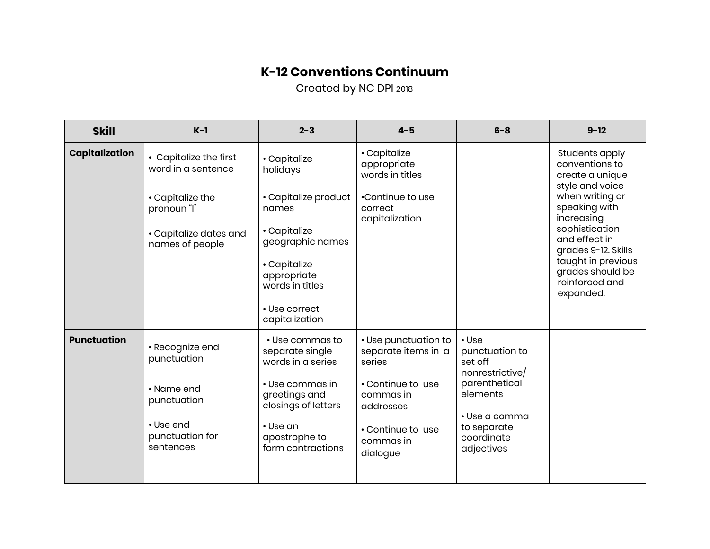## **K-12 Conventions Continuum**

Created by NC DPI 2018

| <b>Skill</b>          | $K-1$                                                                                                                        | $2 - 3$                                                                                                                                                                            | $4 - 5$                                                                                                                                            | $6 - 8$                                                                                                                                                    | $9 - 12$                                                                                                                                                                                                                                                    |
|-----------------------|------------------------------------------------------------------------------------------------------------------------------|------------------------------------------------------------------------------------------------------------------------------------------------------------------------------------|----------------------------------------------------------------------------------------------------------------------------------------------------|------------------------------------------------------------------------------------------------------------------------------------------------------------|-------------------------------------------------------------------------------------------------------------------------------------------------------------------------------------------------------------------------------------------------------------|
| <b>Capitalization</b> | • Capitalize the first<br>word in a sentence<br>• Capitalize the<br>pronoun "I"<br>• Capitalize dates and<br>names of people | • Capitalize<br>holidays<br>• Capitalize product<br>names<br>• Capitalize<br>geographic names<br>• Capitalize<br>appropriate<br>words in titles<br>• Use correct<br>capitalization | • Capitalize<br>appropriate<br>words in titles<br>•Continue to use<br>correct<br>capitalization                                                    |                                                                                                                                                            | Students apply<br>conventions to<br>create a unique<br>style and voice<br>when writing or<br>speaking with<br>increasing<br>sophistication<br>and effect in<br>grades 9-12. Skills<br>taught in previous<br>grades should be<br>reinforced and<br>expanded. |
| <b>Punctuation</b>    | · Recognize end<br>punctuation<br>• Name end<br>punctuation<br>• Use end<br>punctuation for<br>sentences                     | • Use commas to<br>separate single<br>words in a series<br>• Use commas in<br>greetings and<br>closings of letters<br>• Use an<br>apostrophe to<br>form contractions               | • Use punctuation to<br>separate items in a<br>series<br>• Continue to use<br>commas in<br>addresses<br>• Continue to use<br>commas in<br>dialogue | $\cdot$ Use<br>punctuation to<br>set off<br>nonrestrictive/<br>parenthetical<br>elements<br>$\cdot$ Use a comma<br>to separate<br>coordinate<br>adjectives |                                                                                                                                                                                                                                                             |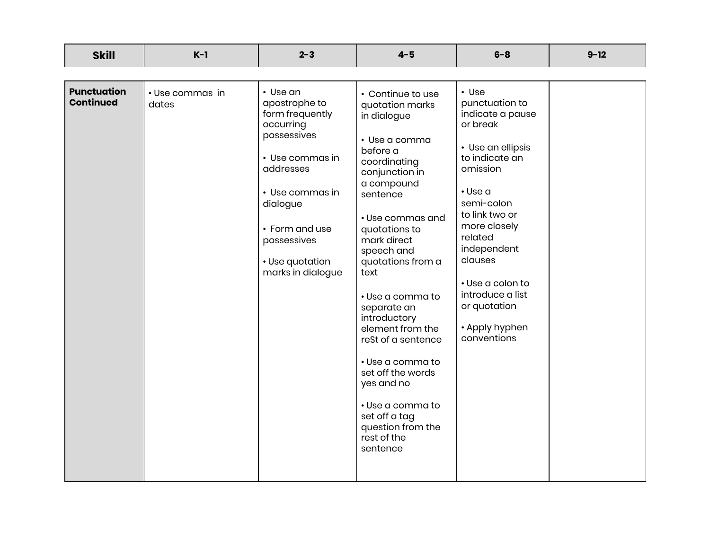| <b>Skill</b>                           | $K-1$                    | $2 - 3$                                                                                                                                                                                                          | $4 - 5$                                                                                                                                                                                                                                                                                                                                                                                                                                                                              | $6 - 8$                                                                                                                                                                                                                                                                                                         | $9 - 12$ |
|----------------------------------------|--------------------------|------------------------------------------------------------------------------------------------------------------------------------------------------------------------------------------------------------------|--------------------------------------------------------------------------------------------------------------------------------------------------------------------------------------------------------------------------------------------------------------------------------------------------------------------------------------------------------------------------------------------------------------------------------------------------------------------------------------|-----------------------------------------------------------------------------------------------------------------------------------------------------------------------------------------------------------------------------------------------------------------------------------------------------------------|----------|
|                                        |                          |                                                                                                                                                                                                                  |                                                                                                                                                                                                                                                                                                                                                                                                                                                                                      |                                                                                                                                                                                                                                                                                                                 |          |
| <b>Punctuation</b><br><b>Continued</b> | • Use commas in<br>dates | • Use an<br>apostrophe to<br>form frequently<br>occurring<br>possessives<br>• Use commas in<br>addresses<br>• Use commas in<br>dialogue<br>• Form and use<br>possessives<br>• Use quotation<br>marks in dialogue | • Continue to use<br>quotation marks<br>in dialogue<br>· Use a comma<br>before a<br>coordinating<br>conjunction in<br>a compound<br>sentence<br>• Use commas and<br>quotations to<br>mark direct<br>speech and<br>quotations from a<br>text<br>• Use a comma to<br>separate an<br>introductory<br>element from the<br>reSt of a sentence<br>• Use a comma to<br>set off the words<br>yes and no<br>• Use a comma to<br>set off a tag<br>question from the<br>rest of the<br>sentence | $\cdot$ Use<br>punctuation to<br>indicate a pause<br>or break<br>• Use an ellipsis<br>to indicate an<br>omission<br>$\cdot$ Use a<br>semi-colon<br>to link two or<br>more closely<br>related<br>independent<br>clauses<br>• Use a colon to<br>introduce a list<br>or quotation<br>• Apply hyphen<br>conventions |          |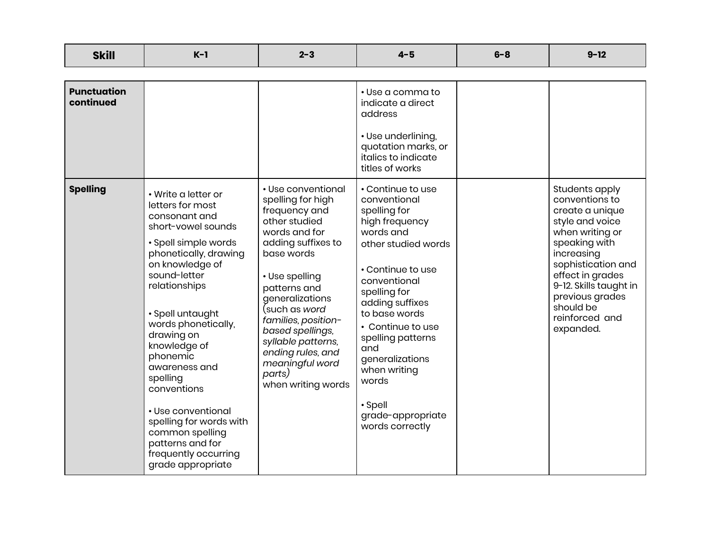| <b>Skill</b>                    | $K-1$                                                                                                                                                                                                                                                                                                                                                                                                                                                     | $2 - 3$                                                                                                                                                                                                                                                                                                                                              | $4 - 5$                                                                                                                                                                                                                                                                                                                                          | $6 - 8$ | $9 - 12$                                                                                                                                                                                                                                                    |
|---------------------------------|-----------------------------------------------------------------------------------------------------------------------------------------------------------------------------------------------------------------------------------------------------------------------------------------------------------------------------------------------------------------------------------------------------------------------------------------------------------|------------------------------------------------------------------------------------------------------------------------------------------------------------------------------------------------------------------------------------------------------------------------------------------------------------------------------------------------------|--------------------------------------------------------------------------------------------------------------------------------------------------------------------------------------------------------------------------------------------------------------------------------------------------------------------------------------------------|---------|-------------------------------------------------------------------------------------------------------------------------------------------------------------------------------------------------------------------------------------------------------------|
| <b>Punctuation</b><br>continued |                                                                                                                                                                                                                                                                                                                                                                                                                                                           |                                                                                                                                                                                                                                                                                                                                                      | • Use a comma to<br>indicate a direct<br>address<br>• Use underlining,<br>quotation marks, or<br>italics to indicate<br>titles of works                                                                                                                                                                                                          |         |                                                                                                                                                                                                                                                             |
| <b>Spelling</b>                 | • Write a letter or<br>letters for most<br>consonant and<br>short-vowel sounds<br>· Spell simple words<br>phonetically, drawing<br>on knowledge of<br>sound-letter<br>relationships<br>· Spell untaught<br>words phonetically,<br>drawing on<br>knowledge of<br>phonemic<br>awareness and<br>spelling<br>conventions<br>• Use conventional<br>spelling for words with<br>common spelling<br>patterns and for<br>frequently occurring<br>grade appropriate | • Use conventional<br>spelling for high<br>frequency and<br>other studied<br>words and for<br>adding suffixes to<br>base words<br>• Use spelling<br>patterns and<br>generalizations<br>(such as <i>word</i><br>families, position-<br>based spellings,<br>syllable patterns,<br>ending rules, and<br>meaningful word<br>parts)<br>when writing words | • Continue to use<br>conventional<br>spelling for<br>high frequency<br>words and<br>other studied words<br>• Continue to use<br>conventional<br>spelling for<br>adding suffixes<br>to base words<br>• Continue to use<br>spelling patterns<br>and<br>generalizations<br>when writing<br>words<br>• Spell<br>grade-appropriate<br>words correctly |         | Students apply<br>conventions to<br>create a unique<br>style and voice<br>when writing or<br>speaking with<br>increasing<br>sophistication and<br>effect in grades<br>9-12. Skills taught in<br>previous grades<br>should be<br>reinforced and<br>expanded. |